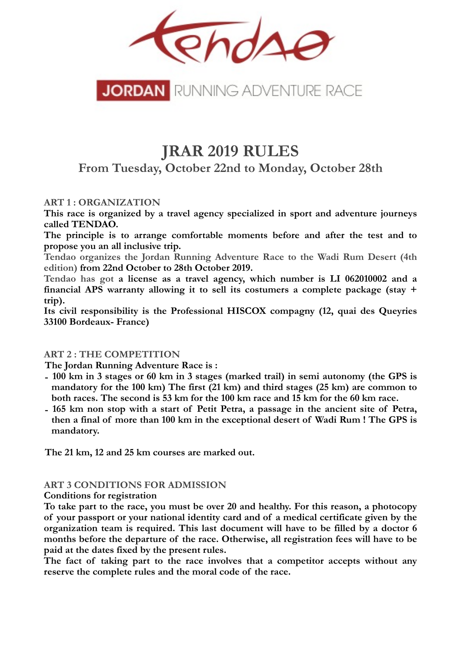

# **JRAR 2019 RULES**

**From Tuesday, October 22nd to Monday, October 28th**

**ART 1 : ORGANIZATION** 

**This race is organized by a travel agency specialized in sport and adventure journeys called TENDAO.** 

**The principle is to arrange comfortable moments before and after the test and to propose you an all inclusive trip.** 

**Tendao organizes the Jordan Running Adventure Race to the Wadi Rum Desert (4th edition) from 22nd October to 28th October 2019.**

**Tendao has got a license as a travel agency, which number is LI 062010002 and a financial APS warranty allowing it to sell its costumers a complete package (stay + trip).** 

**Its civil responsibility is the Professional HISCOX compagny (12, quai des Queyries 33100 Bordeaux- France)**

#### **ART 2 : THE COMPETITION**

**The Jordan Running Adventure Race is :** 

- **- 100 km in 3 stages or 60 km in 3 stages (marked trail) in semi autonomy (the GPS is mandatory for the 100 km) The first (21 km) and third stages (25 km) are common to both races. The second is 53 km for the 100 km race and 15 km for the 60 km race.**
- **- 165 km non stop with a start of Petit Petra, a passage in the ancient site of Petra, then a final of more than 100 km in the exceptional desert of Wadi Rum ! The GPS is mandatory.**

**The 21 km, 12 and 25 km courses are marked out.**

#### **ART 3 CONDITIONS FOR ADMISSION**

#### **Conditions for registration**

**To take part to the race, you must be over 20 and healthy. For this reason, a photocopy of your passport or your national identity card and of a medical certificate given by the organization team is required. This last document will have to be filled by a doctor 6 months before the departure of the race. Otherwise, all registration fees will have to be paid at the dates fixed by the present rules.** 

**The fact of taking part to the race involves that a competitor accepts without any reserve the complete rules and the moral code of the race.**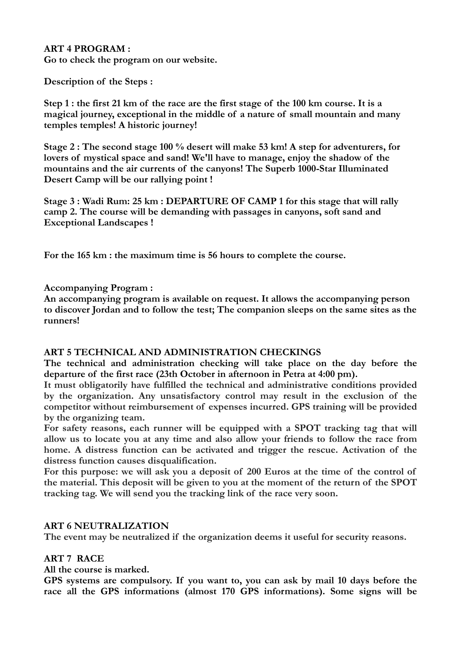#### **ART 4 PROGRAM : Go to check the program on our website.**

**Description of the Steps :**

**Step 1 : the first 21 km of the race are the first stage of the 100 km course. It is a magical journey, exceptional in the middle of a nature of small mountain and many temples temples! A historic journey!** 

**Stage 2 : The second stage 100 % desert will make 53 km! A step for adventurers, for lovers of mystical space and sand! We'll have to manage, enjoy the shadow of the mountains and the air currents of the canyons! The Superb 1000-Star Illuminated Desert Camp will be our rallying point !** 

**Stage 3 : Wadi Rum: 25 km : DEPARTURE OF CAMP 1 for this stage that will rally camp 2. The course will be demanding with passages in canyons, soft sand and Exceptional Landscapes !** 

**For the 165 km : the maximum time is 56 hours to complete the course.**

#### **Accompanying Program :**

**An accompanying program is available on request. It allows the accompanying person to discover Jordan and to follow the test; The companion sleeps on the same sites as the runners!**

# **ART 5 TECHNICAL AND ADMINISTRATION CHECKINGS**

**The technical and administration checking will take place on the day before the departure of the first race (23th October in afternoon in Petra at 4:00 pm).** 

**It must obligatorily have fulfilled the technical and administrative conditions provided by the organization. Any unsatisfactory control may result in the exclusion of the competitor without reimbursement of expenses incurred. GPS training will be provided by the organizing team.** 

**For safety reasons, each runner will be equipped with a SPOT tracking tag that will allow us to locate you at any time and also allow your friends to follow the race from home. A distress function can be activated and trigger the rescue. Activation of the distress function causes disqualification.** 

**For this purpose: we will ask you a deposit of 200 Euros at the time of the control of the material. This deposit will be given to you at the moment of the return of the SPOT tracking tag. We will send you the tracking link of the race very soon.** 

#### **ART 6 NEUTRALIZATION**

**The event may be neutralized if the organization deems it useful for security reasons.**

# **ART 7 RACE**

**All the course is marked.** 

**GPS systems are compulsory. If you want to, you can ask by mail 10 days before the race all the GPS informations (almost 170 GPS informations). Some signs will be**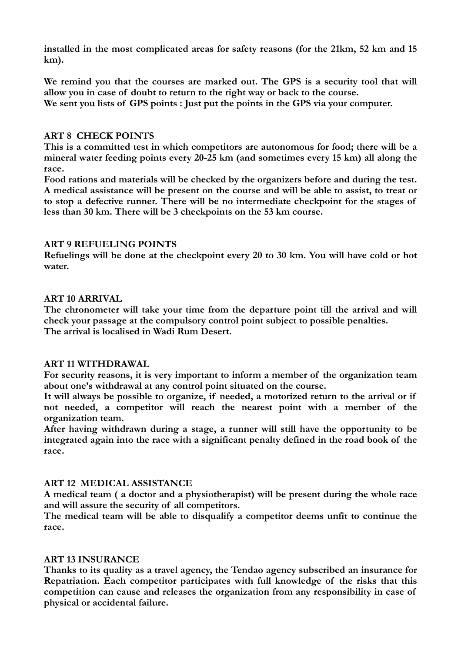**installed in the most complicated areas for safety reasons (for the 21km, 52 km and 15 km).** 

**We remind you that the courses are marked out. The GPS is a security tool that will allow you in case of doubt to return to the right way or back to the course. We sent you lists of GPS points : Just put the points in the GPS via your computer.** 

#### **ART 8 CHECK POINTS**

**This is a committed test in which competitors are autonomous for food; there will be a mineral water feeding points every 20-25 km (and sometimes every 15 km) all along the race.** 

**Food rations and materials will be checked by the organizers before and during the test. A medical assistance will be present on the course and will be able to assist, to treat or to stop a defective runner. There will be no intermediate checkpoint for the stages of less than 30 km. There will be 3 checkpoints on the 53 km course.** 

## **ART 9 REFUELING POINTS**

**Refuelings will be done at the checkpoint every 20 to 30 km. You will have cold or hot water.**

## **ART 10 ARRIVAL**

**The chronometer will take your time from the departure point till the arrival and will check your passage at the compulsory control point subject to possible penalties. The arrival is localised in Wadi Rum Desert.** 

#### **ART 11 WITHDRAWAL**

**For security reasons, it is very important to inform a member of the organization team about one's withdrawal at any control point situated on the course.** 

**It will always be possible to organize, if needed, a motorized return to the arrival or if not needed, a competitor will reach the nearest point with a member of the organization team.** 

**After having withdrawn during a stage, a runner will still have the opportunity to be integrated again into the race with a significant penalty defined in the road book of the race.** 

# **ART 12 MEDICAL ASSISTANCE**

**A medical team ( a doctor and a physiotherapist) will be present during the whole race and will assure the security of all competitors.** 

**The medical team will be able to disqualify a competitor deems unfit to continue the race.** 

#### **ART 13 INSURANCE**

**Thanks to its quality as a travel agency, the Tendao agency subscribed an insurance for Repatriation. Each competitor participates with full knowledge of the risks that this competition can cause and releases the organization from any responsibility in case of physical or accidental failure.**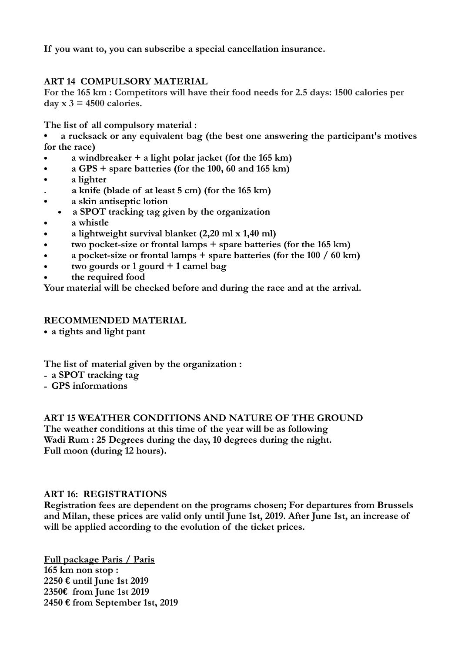**If you want to, you can subscribe a special cancellation insurance.** 

# **ART 14 COMPULSORY MATERIAL**

**For the 165 km : Competitors will have their food needs for 2.5 days: 1500 calories per day x 3 = 4500 calories.**

**The list of all compulsory material :**

**• a rucksack or any equivalent bag (the best one answering the participant's motives for the race)** 

- **a windbreaker + a light polar jacket (for the 165 km)**
- **a GPS + spare batteries (for the 100, 60 and 165 km)**
- **a lighter**
- **. a knife (blade of at least 5 cm) (for the 165 km)**
- **a skin antiseptic lotion**
- **• a SPOT tracking tag given by the organization**
- **a whistle**
- **a lightweight survival blanket (2,20 ml x 1,40 ml)**
- **two pocket-size or frontal lamps + spare batteries (for the 165 km)**
- **a pocket-size or frontal lamps + spare batteries (for the 100 / 60 km)**
- **two gourds or 1 gourd + 1 camel bag**
- **the required food**

**Your material will be checked before and during the race and at the arrival.** 

## **RECOMMENDED MATERIAL**

**• a tights and light pant** 

**The list of material given by the organization :** 

- **- a SPOT tracking tag**
- **- GPS informations**

#### **ART 15 WEATHER CONDITIONS AND NATURE OF THE GROUND**

**The weather conditions at this time of the year will be as following Wadi Rum : 25 Degrees during the day, 10 degrees during the night. Full moon (during 12 hours).**

#### **ART 16: REGISTRATIONS**

**Registration fees are dependent on the programs chosen; For departures from Brussels and Milan, these prices are valid only until June 1st, 2019. After June 1st, an increase of will be applied according to the evolution of the ticket prices.** 

**Full package Paris / Paris 165 km non stop : 2250 € until June 1st 2019 2350€ from June 1st 2019 2450 € from September 1st, 2019**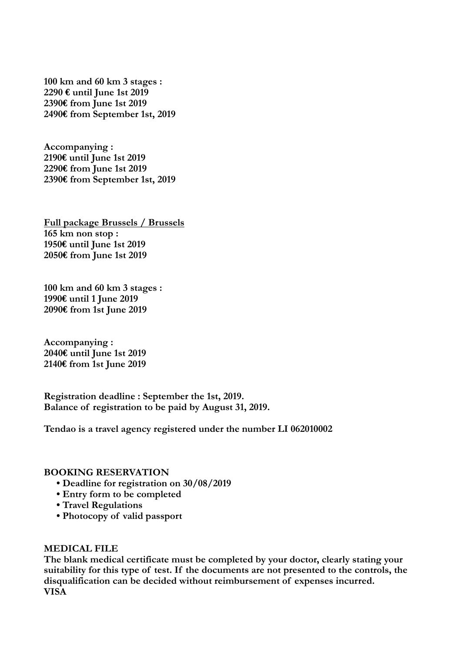**100 km and 60 km 3 stages : € until June 1st 2019 € from June 1st 2019 € from September 1st, 2019** 

**Accompanying : € until June 1st 2019 € from June 1st 2019 € from September 1st, 2019** 

**Full package Brussels / Brussels 165 km non stop : 1950€ until June 1st 2019 2050€ from June 1st 2019** 

**100 km and 60 km 3 stages : 1990€ until 1 June 2019 2090€ from 1st June 2019** 

**Accompanying : 2040€ until June 1st 2019 2140€ from 1st June 2019** 

**Registration deadline : September the 1st, 2019. Balance of registration to be paid by August 31, 2019.** 

**Tendao is a travel agency registered under the number LI 062010002**

#### **BOOKING RESERVATION**

- **Deadline for registration on 30/08/2019**
- **Entry form to be completed**
- **Travel Regulations**
- **Photocopy of valid passport**

#### **MEDICAL FILE**

**The blank medical certificate must be completed by your doctor, clearly stating your suitability for this type of test. If the documents are not presented to the controls, the disqualification can be decided without reimbursement of expenses incurred. VISA**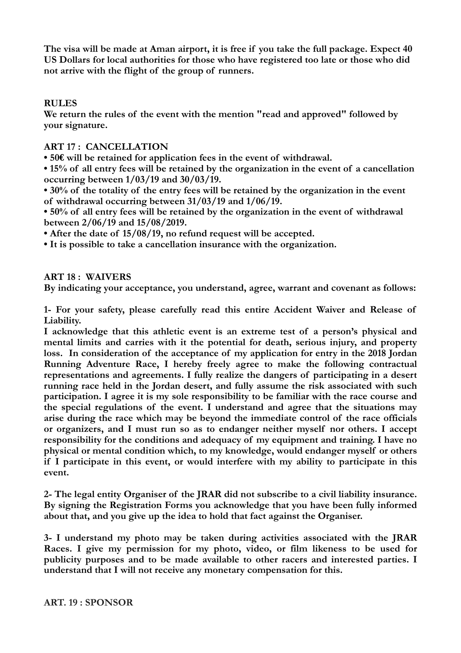**The visa will be made at Aman airport, it is free if you take the full package. Expect 40 US Dollars for local authorities for those who have registered too late or those who did not arrive with the flight of the group of runners.** 

#### **RULES**

**We return the rules of the event with the mention "read and approved" followed by your signature.** 

## **ART 17 : CANCELLATION**

**• 50€ will be retained for application fees in the event of withdrawal.** 

**• 15% of all entry fees will be retained by the organization in the event of a cancellation occurring between 1/03/19 and 30/03/19.** 

**• 30% of the totality of the entry fees will be retained by the organization in the event of withdrawal occurring between 31/03/19 and 1/06/19.** 

**• 50% of all entry fees will be retained by the organization in the event of withdrawal between 2/06/19 and 15/08/2019.** 

**• After the date of 15/08/19, no refund request will be accepted.** 

**• It is possible to take a cancellation insurance with the organization.** 

#### **ART 18 : WAIVERS**

**By indicating your acceptance, you understand, agree, warrant and covenant as follows:** 

**1- For your safety, please carefully read this entire Accident Waiver and Release of Liability.** 

**I acknowledge that this athletic event is an extreme test of a person's physical and mental limits and carries with it the potential for death, serious injury, and property loss. In consideration of the acceptance of my application for entry in the 2018 Jordan Running Adventure Race, I hereby freely agree to make the following contractual representations and agreements. I fully realize the dangers of participating in a desert running race held in the Jordan desert, and fully assume the risk associated with such participation. I agree it is my sole responsibility to be familiar with the race course and the special regulations of the event. I understand and agree that the situations may arise during the race which may be beyond the immediate control of the race officials or organizers, and I must run so as to endanger neither myself nor others. I accept responsibility for the conditions and adequacy of my equipment and training. I have no physical or mental condition which, to my knowledge, would endanger myself or others if I participate in this event, or would interfere with my ability to participate in this event.** 

**2- The legal entity Organiser of the JRAR did not subscribe to a civil liability insurance. By signing the Registration Forms you acknowledge that you have been fully informed about that, and you give up the idea to hold that fact against the Organiser.** 

**3- I understand my photo may be taken during activities associated with the JRAR Races. I give my permission for my photo, video, or film likeness to be used for publicity purposes and to be made available to other racers and interested parties. I understand that I will not receive any monetary compensation for this.**